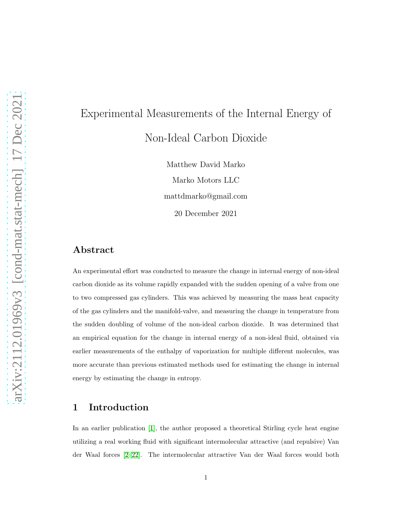# Experimental Measurements of the Internal Energy of Non-Ideal Carbon Dioxide

Matthew David Marko Marko Motors LLC mattdmarko@gmail.com 20 December 2021

## Abstract

An experimental effort was conducted to measure the change in internal energy of non-ideal carbon dioxide as its volume rapidly expanded with the sudden opening of a valve from one to two compressed gas cylinders. This was achieved by measuring the mass heat capacity of the gas cylinders and the manifold-valve, and measuring the change in temperature from the sudden doubling of volume of the non-ideal carbon dioxide. It was determined that an empirical equation for the change in internal energy of a non-ideal fluid, obtained via earlier measurements of the enthalpy of vaporization for multiple different molecules, was more accurate than previous estimated methods used for estimating the change in internal energy by estimating the change in entropy.

## 1 Introduction

In an earlier publication [\[1\]](#page-16-0), the author proposed a theoretical Stirling cycle heat engine utilizing a real working fluid with significant intermolecular attractive (and repulsive) Van der Waal forces [\[2–](#page-16-1)[22\]](#page-18-0). The intermolecular attractive Van der Waal forces would both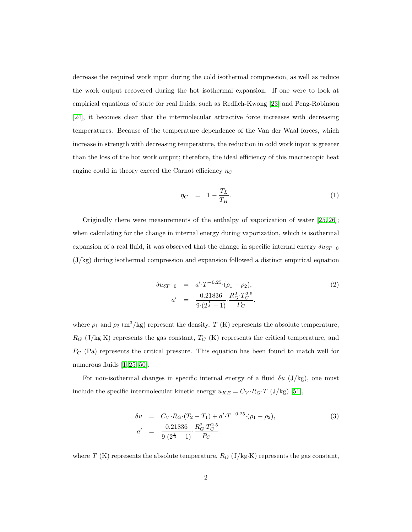decrease the required work input during the cold isothermal compression, as well as reduce the work output recovered during the hot isothermal expansion. If one were to look at empirical equations of state for real fluids, such as Redlich-Kwong [\[23\]](#page-18-1) and Peng-Robinson [\[24\]](#page-18-2), it becomes clear that the intermolecular attractive force increases with decreasing temperatures. Because of the temperature dependence of the Van der Waal forces, which increase in strength with decreasing temperature, the reduction in cold work input is greater than the loss of the hot work output; therefore, the ideal efficiency of this macroscopic heat engine could in theory exceed the Carnot efficiency  $\eta_C$ 

<span id="page-1-1"></span>
$$
\eta_C = 1 - \frac{T_L}{T_H}.\tag{1}
$$

Originally there were measurements of the enthalpy of vaporization of water [\[25,](#page-18-3) [26\]](#page-18-4); when calculating for the change in internal energy during vaporization, which is isothermal expansion of a real fluid, it was observed that the change in specific internal energy  $\delta u_{\delta T=0}$  $(J/kg)$  during isothermal compression and expansion followed a distinct empirical equation

$$
\delta u_{\delta T=0} = a' \cdot T^{-0.25} \cdot (\rho_1 - \rho_2),
$$
  
\n
$$
a' = \frac{0.21836}{9 \cdot (2^{\frac{1}{3}} - 1)} \cdot \frac{R_G^2 \cdot T_C^{2.5}}{P_C}.
$$
\n(2)

where  $\rho_1$  and  $\rho_2$  (m<sup>3</sup>/kg) represent the density, *T* (K) represents the absolute temperature,  $R_G$  (J/kg·K) represents the gas constant,  $T_C$  (K) represents the critical temperature, and  $P_{\text{C}}$  (Pa) represents the critical pressure. This equation has been found to match well for numerous fluids [\[1,](#page-16-0) [25–](#page-18-3)[50\]](#page-21-0).

For non-isothermal changes in specific internal energy of a fluid  $\delta u$  (J/kg), one must include the specific intermolecular kinetic energy  $u_{KE} = C_V \cdot R_G \cdot T$  (J/kg) [\[51\]](#page-21-1),

<span id="page-1-0"></span>
$$
\delta u = C_V \cdot R_G \cdot (T_2 - T_1) + a' \cdot T^{-0.25} \cdot (\rho_1 - \rho_2),
$$
  
\n
$$
a' = \frac{0.21836}{9 \cdot (2^{\frac{1}{3}} - 1)} \cdot \frac{R_G^2 \cdot T_C^{2.5}}{P_C}.
$$
\n(3)

where  $T$  (K) represents the absolute temperature,  $R_G$  (J/kg·K) represents the gas constant,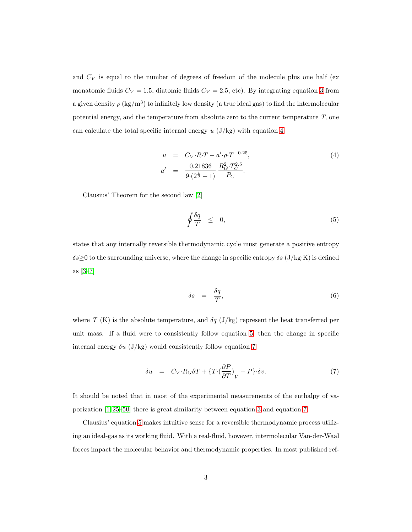and  $C_V$  is equal to the number of degrees of freedom of the molecule plus one half (ex monatomic fluids  $C_V = 1.5$ , diatomic fluids  $C_V = 2.5$ , etc). By integrating equation [3](#page-1-0) from a given density  $\rho (\text{kg/m}^3)$  to infinitely low density (a true ideal gas) to find the intermolecular potential energy, and the temperature from absolute zero to the current temperature *T*, one can calculate the total specific internal energy *u* (J/kg) with equation [4](#page-2-0)

<span id="page-2-0"></span>
$$
u = C_V \cdot R \cdot T - a' \cdot \rho \cdot T^{-0.25},
$$
  
\n
$$
a' = \frac{0.21836}{9 \cdot (2^{\frac{1}{3}} - 1)} \cdot \frac{R_G^2 \cdot T_C^{2.5}}{P_C}.
$$
\n(4)

Clausius' Theorem for the second law [\[2\]](#page-16-1)

<span id="page-2-1"></span>
$$
\oint \frac{\delta q}{T} \leq 0, \tag{5}
$$

states that any internally reversible thermodynamic cycle must generate a positive entropy  $\delta s \geq 0$  to the surrounding universe, where the change in specific entropy  $\delta s$  (J/kg·K) is defined as [\[3](#page-16-2)[–7\]](#page-16-3)

$$
\delta s = \frac{\delta q}{T},\tag{6}
$$

where *T* (K) is the absolute temperature, and  $\delta q$  (J/kg) represent the heat transferred per unit mass. If a fluid were to consistently follow equation [5,](#page-2-1) then the change in specific internal energy  $\delta u$  (J/kg) would consistently follow equation [7](#page-2-2)

<span id="page-2-2"></span>
$$
\delta u = C_V \cdot R_G \delta T + \{ T \cdot (\frac{\partial P}{\partial T})_V - P \} \cdot \delta v. \tag{7}
$$

It should be noted that in most of the experimental measurements of the enthalpy of vaporization [\[1,](#page-16-0) [25](#page-18-3)[–50\]](#page-21-0) there is great similarity between equation [3](#page-1-0) and equation [7.](#page-2-2)

Clausius' equation [5](#page-2-1) makes intuitive sense for a reversible thermodynamic process utilizing an ideal-gas as its working fluid. With a real-fluid, however, intermolecular Van-der-Waal forces impact the molecular behavior and thermodynamic properties. In most published ref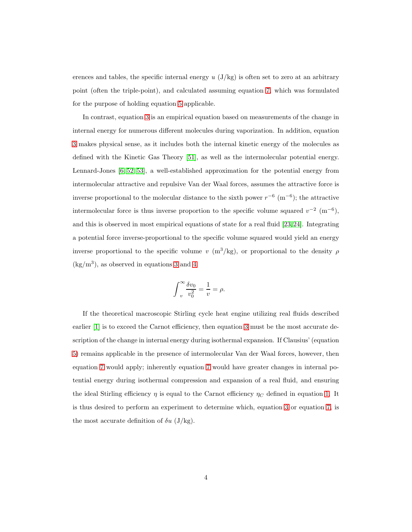erences and tables, the specific internal energy  $u$  ( $J/kg$ ) is often set to zero at an arbitrary point (often the triple-point), and calculated assuming equation [7,](#page-2-2) which was formulated for the purpose of holding equation [5](#page-2-1) applicable.

In contrast, equation [3](#page-1-0) is an empirical equation based on measurements of the change in internal energy for numerous different molecules during vaporization. In addition, equation [3](#page-1-0) makes physical sense, as it includes both the internal kinetic energy of the molecules as defined with the Kinetic Gas Theory [\[51\]](#page-21-1), as well as the intermolecular potential energy. Lennard-Jones [\[6,](#page-16-4) [52,](#page-22-0) [53\]](#page-22-1), a well-established approximation for the potential energy from intermolecular attractive and repulsive Van der Waal forces, assumes the attractive force is inverse proportional to the molecular distance to the sixth power  $r^{-6}$  (m<sup>-6</sup>); the attractive intermolecular force is thus inverse proportion to the specific volume squared  $v^{-2}$  (m<sup>-6</sup>), and this is observed in most empirical equations of state for a real fluid [\[23,](#page-18-1) [24\]](#page-18-2). Integrating a potential force inverse-proportional to the specific volume squared would yield an energy inverse proportional to the specific volume  $v$  (m<sup>3</sup>/kg), or proportional to the density  $\rho$  $(kg/m<sup>3</sup>)$ , as observed in equations [3](#page-1-0) and [4.](#page-2-0)

$$
\int_{v}^{\infty} \frac{\delta v_0}{v_0^2} = \frac{1}{v} = \rho.
$$

If the theoretical macroscopic Stirling cycle heat engine utilizing real fluids described earlier [\[1\]](#page-16-0) is to exceed the Carnot efficiency, then equation [3](#page-1-0) must be the most accurate description of the change in internal energy during isothermal expansion. If Clausius' (equation [5\)](#page-2-1) remains applicable in the presence of intermolecular Van der Waal forces, however, then equation [7](#page-2-2) would apply; inherently equation [7](#page-2-2) would have greater changes in internal potential energy during isothermal compression and expansion of a real fluid, and ensuring the ideal Stirling efficiency  $\eta$  is equal to the Carnot efficiency  $\eta_C$  defined in equation [1.](#page-1-1) It is thus desired to perform an experiment to determine which, equation [3](#page-1-0) or equation [7,](#page-2-2) is the most accurate definition of  $\delta u$  (J/kg).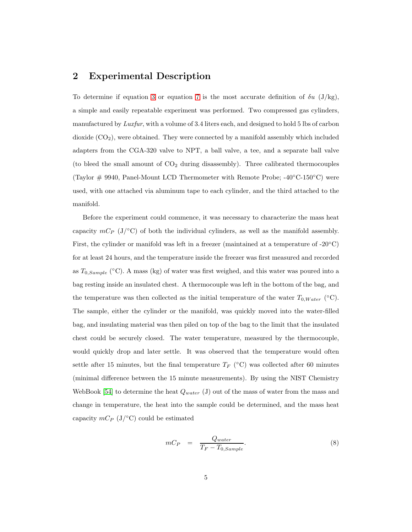### 2 Experimental Description

To determine if equation [3](#page-1-0) or equation [7](#page-2-2) is the most accurate definition of  $\delta u$  (J/kg), a simple and easily repeatable experiment was performed. Two compressed gas cylinders, manufactured by *Luxfur*, with a volume of 3.4 liters each, and designed to hold 5 lbs of carbon dioxide  $(CO<sub>2</sub>)$ , were obtained. They were connected by a manifold assembly which included adapters from the CGA-320 valve to NPT, a ball valve, a tee, and a separate ball valve (to bleed the small amount of  $CO<sub>2</sub>$  during disassembly). Three calibrated thermocouples (Taylor  $\#$  9940, Panel-Mount LCD Thermometer with Remote Probe; -40°C-150°C) were used, with one attached via aluminum tape to each cylinder, and the third attached to the manifold.

Before the experiment could commence, it was necessary to characterize the mass heat capacity  $mC_P$  (J/°C) of both the individual cylinders, as well as the manifold assembly. First, the cylinder or manifold was left in a freezer (maintained at a temperature of -20 $^{\circ}$ C) for at least 24 hours, and the temperature inside the freezer was first measured and recorded as  $T_{0,Sample}$  (°C). A mass (kg) of water was first weighed, and this water was poured into a bag resting inside an insulated chest. A thermocouple was left in the bottom of the bag, and the temperature was then collected as the initial temperature of the water  $T_{0,Water}$  (°C). The sample, either the cylinder or the manifold, was quickly moved into the water-filled bag, and insulating material was then piled on top of the bag to the limit that the insulated chest could be securely closed. The water temperature, measured by the thermocouple, would quickly drop and later settle. It was observed that the temperature would often settle after 15 minutes, but the final temperature  $T_F$  (°C) was collected after 60 minutes (minimal difference between the 15 minute measurements). By using the NIST Chemistry WebBook [\[54\]](#page-22-2) to determine the heat  $Q_{water}$  (J) out of the mass of water from the mass and change in temperature, the heat into the sample could be determined, and the mass heat capacity  $mC_P$  (J/ $\circ$ C) could be estimated

$$
mC_P = \frac{Q_{water}}{T_F - T_{0,Sample}}.\t\t(8)
$$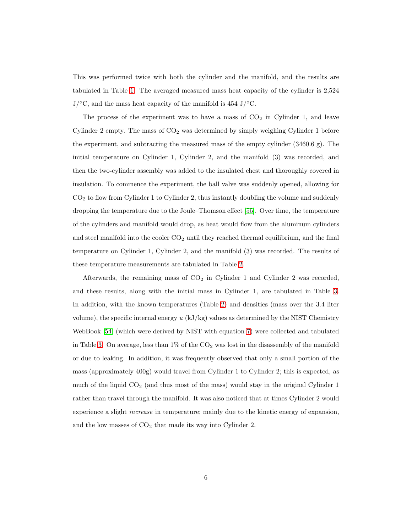This was performed twice with both the cylinder and the manifold, and the results are tabulated in Table [1.](#page-9-0) The averaged measured mass heat capacity of the cylinder is 2,524  $J/\text{°C}$ , and the mass heat capacity of the manifold is 454 J/ $\text{°C}$ .

The process of the experiment was to have a mass of  $CO<sub>2</sub>$  in Cylinder 1, and leave Cylinder 2 empty. The mass of  $CO<sub>2</sub>$  was determined by simply weighing Cylinder 1 before the experiment, and subtracting the measured mass of the empty cylinder (3460.6 g). The initial temperature on Cylinder 1, Cylinder 2, and the manifold (3) was recorded, and then the two-cylinder assembly was added to the insulated chest and thoroughly covered in insulation. To commence the experiment, the ball valve was suddenly opened, allowing for  $CO<sub>2</sub>$  to flow from Cylinder 1 to Cylinder 2, thus instantly doubling the volume and suddenly dropping the temperature due to the Joule–Thomson effect [\[55\]](#page-22-3). Over time, the temperature of the cylinders and manifold would drop, as heat would flow from the aluminum cylinders and steel manifold into the cooler  $CO<sub>2</sub>$  until they reached thermal equilibrium, and the final temperature on Cylinder 1, Cylinder 2, and the manifold (3) was recorded. The results of these temperature measurements are tabulated in Table [2.](#page-9-1)

Afterwards, the remaining mass of  $CO<sub>2</sub>$  in Cylinder 1 and Cylinder 2 was recorded, and these results, along with the initial mass in Cylinder 1, are tabulated in Table [3.](#page-10-0) In addition, with the known temperatures (Table [2\)](#page-9-1) and densities (mass over the 3.4 liter volume), the specific internal energy *u* (kJ/kg) values as determined by the NIST Chemistry WebBook [\[54\]](#page-22-2) (which were derived by NIST with equation [7\)](#page-2-2) were collected and tabulated in Table [3.](#page-10-0) On average, less than  $1\%$  of the CO<sub>2</sub> was lost in the disassembly of the manifold or due to leaking. In addition, it was frequently observed that only a small portion of the mass (approximately 400g) would travel from Cylinder 1 to Cylinder 2; this is expected, as much of the liquid  $CO<sub>2</sub>$  (and thus most of the mass) would stay in the original Cylinder 1 rather than travel through the manifold. It was also noticed that at times Cylinder 2 would experience a slight *increase* in temperature; mainly due to the kinetic energy of expansion, and the low masses of  $CO<sub>2</sub>$  that made its way into Cylinder 2.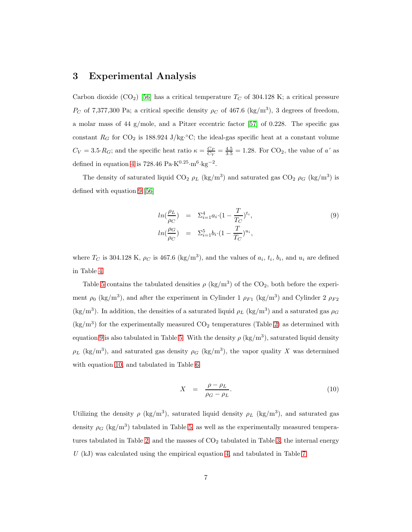#### 3 Experimental Analysis

Carbon dioxide (CO<sub>2</sub>) [\[56\]](#page-22-4) has a critical temperature  $T_C$  of 304.128 K; a critical pressure P<sub>C</sub> of 7,377,300 Pa; a critical specific density  $\rho_C$  of 467.6 (kg/m<sup>3</sup>), 3 degrees of freedom, a molar mass of 44 g/mole, and a Pitzer eccentric factor [\[57\]](#page-22-5) of 0.228. The specific gas constant  $R_G$  for CO<sub>2</sub> is 188.924 J/kg<sup>o</sup>C; the ideal-gas specific heat at a constant volume  $C_V = 3.5 \cdot R_G$ ; and the specific heat ratio  $\kappa = \frac{C_P}{C_V} = \frac{4.5}{3.5} = 1.28$ . For CO<sub>2</sub>, the value of *a'* as defined in equation [4](#page-2-0) is 728.46 Pa·K<sup>0.25</sup>·m<sup>6</sup>·kg<sup>-2</sup>.

The density of saturated liquid CO<sub>2</sub>  $\rho_L$  (kg/m<sup>3</sup>) and saturated gas CO<sub>2</sub>  $\rho_G$  (kg/m<sup>3</sup>) is defined with equation [9](#page-6-0) [\[56\]](#page-22-4)

<span id="page-6-0"></span>
$$
ln(\frac{\rho_L}{\rho_C}) = \Sigma_{i=1}^4 a_i \cdot (1 - \frac{T}{T_C})^{t_i},
$$
  
\n
$$
ln(\frac{\rho_G}{\rho_C}) = \Sigma_{i=1}^5 b_i \cdot (1 - \frac{T}{T_C})^{u_i},
$$
\n(9)

where  $T_C$  is 304.128 K,  $\rho_C$  is 467.6 (kg/m<sup>3</sup>), and the values of  $a_i$ ,  $t_i$ ,  $b_i$ , and  $u_i$  are defined in Table [4.](#page-10-1)

Table [5](#page-11-0) contains the tabulated densities  $\rho$  (kg/m<sup>3</sup>) of the CO<sub>2</sub>, both before the experiment  $\rho_0$  (kg/m<sup>3</sup>), and after the experiment in Cylinder 1  $\rho_{F1}$  (kg/m<sup>3</sup>) and Cylinder 2  $\rho_{F2}$ (kg/m<sup>3</sup>). In addition, the densities of a saturated liquid  $\rho_L$  (kg/m<sup>3</sup>) and a saturated gas  $\rho_G$  $\rm (kg/m^3)$  for the experimentally measured CO<sub>2</sub> temperatures (Table [2\)](#page-9-1) as determined with equation [9](#page-6-0) is also tabulated in Table [5.](#page-11-0) With the density  $\rho$  (kg/m<sup>3</sup>), saturated liquid density  $\rho_L$  (kg/m<sup>3</sup>), and saturated gas density  $\rho_G$  (kg/m<sup>3</sup>), the vapor quality *X* was determined with equation [10,](#page-6-1) and tabulated in Table [6.](#page-12-0)

<span id="page-6-1"></span>
$$
X = \frac{\rho - \rho_L}{\rho_G - \rho_L}.\tag{10}
$$

Utilizing the density  $\rho$  (kg/m<sup>3</sup>), saturated liquid density  $\rho_L$  (kg/m<sup>3</sup>), and saturated gas density  $\rho_G$  (kg/m<sup>3</sup>) tabulated in Table [5,](#page-11-0) as well as the experimentally measured tempera-tures tabulated in Table [2,](#page-9-1) and the masses of  $CO<sub>2</sub>$  tabulated in Table [3,](#page-10-0) the internal energy *U* (kJ) was calculated using the empirical equation [4,](#page-2-0) and tabulated in Table [7.](#page-13-0)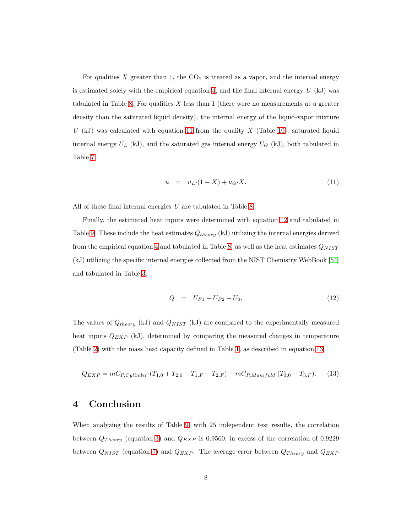For qualities  $X$  greater than 1, the  $CO<sub>2</sub>$  is treated as a vapor, and the internal energy is estimated solely with the empirical equation [4,](#page-2-0) and the final internal energy *U* (kJ) was tabulated in Table [8.](#page-14-0) For qualities *X* less than 1 (there were no measurements at a greater density than the saturated liquid density), the internal energy of the liquid-vapor mixture *U* (kJ) was calculated with equation [11](#page-7-0) from the quality *X* (Table [10\)](#page-6-1), saturated liquid internal energy  $U_L$  (kJ), and the saturated gas internal energy  $U_G$  (kJ), both tabulated in Table [7.](#page-13-0)

<span id="page-7-0"></span>
$$
u = u_L \cdot (1 - X) + u_G \cdot X. \tag{11}
$$

All of these final internal energies *U* are tabulated in Table [8.](#page-14-0)

Finally, the estimated heat inputs were determined with equation [12](#page-7-1) and tabulated in Table [9.](#page-15-0) These include the heat estimates  $Q_{theory}$  (kJ) utilizing the internal energies derived from the empirical equation [4](#page-2-0) and tabulated in Table [8;](#page-14-0) as well as the heat estimates  $Q_{NIST}$ (kJ) utilizing the specific internal energies collected from the NIST Chemistry WebBook [\[54\]](#page-22-2) and tabulated in Table [3.](#page-10-0)

<span id="page-7-1"></span>
$$
Q = U_{F1} + U_{F2} - U_0. \tag{12}
$$

The values of  $Q_{theory}$  (kJ) and  $Q_{NIST}$  (kJ) are compared to the experimentally measured heat inputs  $Q_{EXP}$  (kJ), determined by comparing the measured changes in temperature (Table [2\)](#page-9-1) with the mass heat capacity defined in Table [1,](#page-9-0) as described in equation [13,](#page-7-2)

<span id="page-7-2"></span>
$$
Q_{EXP} = mC_{P,Cylinder} \cdot (T_{1,0} + T_{2,0} - T_{1,F} - T_{2,F}) + mC_{P,Manifold} \cdot (T_{3,0} - T_{3,F}).
$$
 (13)

#### 4 Conclusion

When analyzing the results of Table [9,](#page-15-0) with 25 independent test results, the correlation between  $Q_{Theory}$  (equation [3\)](#page-1-0) and  $Q_{EXP}$  is 0.9560; in excess of the correlation of 0.9229 between  $Q_{NIST}$  (equation [7\)](#page-2-2) and  $Q_{EXP}$ . The average error between  $Q_{Theory}$  and  $Q_{EXP}$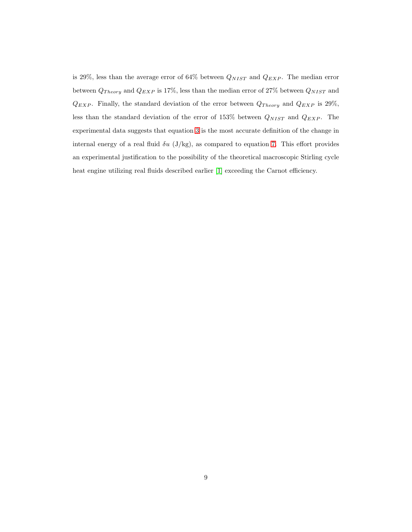is 29%, less than the average error of 64% between  $Q_{NIST}$  and  $Q_{EXP}$ . The median error between  $Q_{Theory}$  and  $Q_{EXP}$  is 17%, less than the median error of 27% between  $Q_{NIST}$  and  $Q_{EXP}$ . Finally, the standard deviation of the error between  $Q_{Theory}$  and  $Q_{EXP}$  is 29%, less than the standard deviation of the error of 153% between  $Q_{NIST}$  and  $Q_{EXP}$ . The experimental data suggests that equation [3](#page-1-0) is the most accurate definition of the change in internal energy of a real fluid  $\delta u$  (J/kg), as compared to equation [7.](#page-2-2) This effort provides an experimental justification to the possibility of the theoretical macroscopic Stirling cycle heat engine utilizing real fluids described earlier [\[1\]](#page-16-0) exceeding the Carnot efficiency.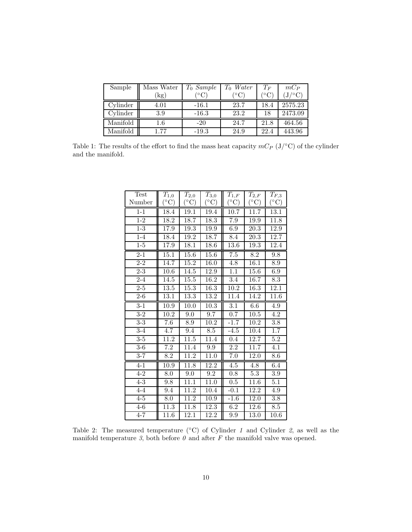| Sample   | Mass Water | $T_0$ Sample | Water                | $T_F$             | $mC_P$  |
|----------|------------|--------------|----------------------|-------------------|---------|
|          | $'$ kg)    |              | $^{\circ}\mathrm{C}$ | $^{\circ}{\rm C}$ |         |
| Cylinder | 4.01       | $-16.1$      | 23.7                 | 18.4              | 2575.23 |
| Cylinder | 3.9        | $-16.3$      | 23.2                 | 18                | 2473.09 |
| Manifold | $1.6\,$    | $-20$        | 24.7                 | 21.8              | 464.56  |
| Manifold | 1.77       | $-19.3$      | 24.9                 | 22.4              | 443.96  |

<span id="page-9-0"></span>Table 1: The results of the effort to find the mass heat capacity  $mC_P$  (J/°C) of the cylinder and the manifold.

| <b>Test</b>      | $T_{1,0}$         | $T_{2,0}$         | $T_{3,0}$         | $T_{1,F}$         | ${\cal T}_{2,F}$  | $T_{F,3}$        |
|------------------|-------------------|-------------------|-------------------|-------------------|-------------------|------------------|
| Number           | $(^\circ C)$      | $(^\circ C)$      | $(^\circ C)$      | $(^\circ C)$      | $({}^{\circ}C)$   | $({}^{\circ}C)$  |
| $1 - 1$          | 18.4              | 19.1              | 19.4              | 10.7              | 11.7              | 13.1             |
| $\overline{1-2}$ | 18.2              | 18.7              | 18.3              | 7.9               | 19.9              | 11.8             |
| $\overline{1-3}$ | 17.9              | 19.3              | 19.9              | 6.9               | 20.3              | <b>12.9</b>      |
| $1-4$            | 18.4              | 19.2              | 18.7              | 8.4               | 20.3              | 12.7             |
| $1-5$            | 17.9              | 18.1              | 18.6              | 13.6              | 19.3              | 12.4             |
| $2 - 1$          | 15.1              | 15.6              | 15.6              | $\overline{7.5}$  | $\overline{8.2}$  | 9.8              |
| $2 - 2$          | 14.7              | 15.2              | $\overline{16.0}$ | 4.8               | $\overline{16.1}$ | 8.9              |
| $\overline{2-3}$ | 10.6              | 14.5              | 12.9              | 1.1               | 15.6              | 6.9              |
| $2 - 4$          | 14.5              | 15.5              | 16.2              | 3.4               | 16.7              | 8.3              |
| $\overline{2-5}$ | $\overline{13.5}$ | $\overline{15.3}$ | $\overline{16.3}$ | $\overline{10.2}$ | $\overline{16.3}$ | 12.1             |
| $2-6$            | $\overline{13.1}$ | 13.3              | 13.2              | 11.4              | 14.2              | 11.6             |
| $3-1$            | 10.9              | 10.0              | $\overline{10.3}$ | 3.1               | 6.6               | 4.9              |
| $3-2$            | 10.2              | 9.0               | 9.7               | $\overline{0.7}$  | 10.5              | 4.2              |
| $3-3$            | $\overline{7.6}$  | 8.9               | 10.2              | $-1.7$            | 10.2              | 3.8              |
| $3-4$            | $\overline{4.7}$  | 9.4               | $\overline{8.5}$  | $-4.5$            | 10.4              | $\overline{1.7}$ |
| $\overline{3-5}$ | $\overline{11.2}$ | $\overline{11.5}$ | 11.4              | 0.4               | 12.7              | $\overline{5.2}$ |
| $\overline{3-6}$ | 7.2               | 11.4              | 9.9               | 2.2               | 11.7              | 4.1              |
| $3 - 7$          | $\overline{8.2}$  | 11.2              | $\overline{11.0}$ | $\overline{7.0}$  | 12.0              | $\overline{8.6}$ |
| $4 - 1$          | 10.9              | $\overline{11.8}$ | 12.2              | $\overline{4.5}$  | 4.8               | 6.4              |
| $4 - 2$          | $\overline{8.0}$  | 9.0               | 9.2               | 0.8               | 5.3               | 3.9              |
| $\overline{4-3}$ | 9.8               | 11.1              | 11.0              | 0.5               | 11.6              | 5.1              |
| $4 - 4$          | 9.4               | 11.2              | 10.4              | $-0.1$            | 12.2              | 4.9              |
| $\overline{4-5}$ | 8.0               | 11.2              | 10.9              | $-1.6$            | 12.0              | $\overline{3.8}$ |
| $4-6$            | 11.3              | 11.8              | 12.3              | 6.2               | 12.6              | 8.5              |
| $4 - 7$          | 11.6              | 12.1              | 12.2              | 9.9               | 13.0              | 10.6             |

<span id="page-9-1"></span>Table 2: The measured temperature (◦C) of Cylinder *1* and Cylinder *2*, as well as the manifold temperature  $\beta$ , both before  $\theta$  and after  $F$  the manifold valve was opened.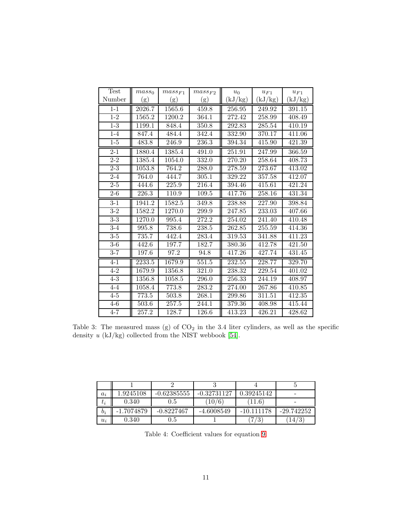| Test             | mass <sub>0</sub> | $mass_{F1}$ | $mass_{F2}$ | $u_0$   | $u_{F1}$ | $u_{F1}$            |
|------------------|-------------------|-------------|-------------|---------|----------|---------------------|
| Number           | (g)               | (g)         | (g)         | (kJ/kg) | (kJ/kg)  | (kJ/kg)             |
| $1 - 1$          | 2026.7            | 1565.6      | 459.8       | 256.95  | 249.92   | 391.15              |
| $1 - 2$          | 1565.2            | 1200.2      | 364.1       | 272.42  | 258.99   | 408.49              |
| $1-3$            | 1199.1            | 848.4       | 350.8       | 292.83  | 285.54   | 410.19              |
| $1 - 4$          | 847.4             | 484.4       | 342.4       | 332.90  | 370.17   | 411.06              |
| $1-5$            | 483.8             | 246.9       | 236.3       | 394.34  | 415.90   | 421.39              |
| $2 - 1$          | 1880.4            | 1385.4      | 491.0       | 251.91  | 247.99   | 366.59              |
| $2 - 2$          | 1385.4            | 1054.0      | 332.0       | 270.20  | 258.64   | 408.73              |
| $2 - 3$          | 1053.8            | 764.2       | 288.0       | 278.59  | 273.67   | 413.02              |
| $2 - 4$          | 764.0             | 444.7       | 305.1       | 329.22  | 357.58   | 412.07              |
| $2 - 5$          | 444.6             | 225.9       | 216.4       | 394.46  | 415.61   | 421.24              |
| $2-6$            | 226.3             | 110.9       | 109.5       | 417.76  | 258.16   | 431.34              |
| $3 - 1$          | 1941.2            | 1582.5      | 349.8       | 238.88  | 227.90   | 398.84              |
| $3-2$            | 1582.2            | 1270.0      | 299.9       | 247.85  | 233.03   | 407.66              |
| $\overline{3-3}$ | 1270.0            | 995.4       | 272.2       | 254.02  | 241.40   | 410.48              |
| $3-4$            | 995.8             | 738.6       | 238.5       | 262.85  | 255.59   | 414.36              |
| $3-5$            | 735.7             | 442.4       | 283.4       | 319.53  | 341.88   | 411.23              |
| $3-6$            | 442.6             | 197.7       | 182.7       | 380.36  | 412.78   | 421.50              |
| $3 - 7$          | 197.6             | 97.2        | 94.8        | 417.26  | 427.74   | $\overline{4}31.45$ |
| $4 - 1$          | 2233.5            | 1679.9      | 551.5       | 232.55  | 228.77   | 329.70              |
| $4 - 2$          | 1679.9            | 1356.8      | 321.0       | 238.32  | 229.54   | 401.02              |
| $4-3$            | 1356.8            | 1058.5      | 296.0       | 256.33  | 244.19   | 408.97              |
| $4 - 4$          | 1058.4            | 773.8       | 283.2       | 274.00  | 267.86   | 410.85              |
| $4-5$            | 773.5             | 503.8       | 268.1       | 299.86  | 311.51   | 412.35              |
| $4-6$            | 503.6             | 257.5       | 244.1       | 379.36  | 408.98   | 415.44              |
| $4 - 7$          | 257.2             | 128.7       | 126.6       | 413.23  | 426.21   | 428.62              |

<span id="page-10-0"></span>Table 3: The measured mass (g) of  $CO<sub>2</sub>$  in the 3.4 liter cylinders, as well as the specific density *u* (kJ/kg) collected from the NIST webbook [\[54\]](#page-22-2).

| $a_i$ | 1.9245108 | $-0.62385555$ | $-0.32731127$ | 0.39245142     |              |
|-------|-----------|---------------|---------------|----------------|--------------|
| $t_i$ | 0.340     | 0.5           | 10/6          | $11.6^{\circ}$ |              |
| $b_i$ | 1.7074879 | $-0.8227467$  | $-4.6008549$  | $-10.111178$   | $-29.742252$ |
| $u_i$ | 0.340     | 0.5           |               | '3             | 14/          |

<span id="page-10-1"></span>Table 4: Coefficient values for equation [9.](#page-6-0)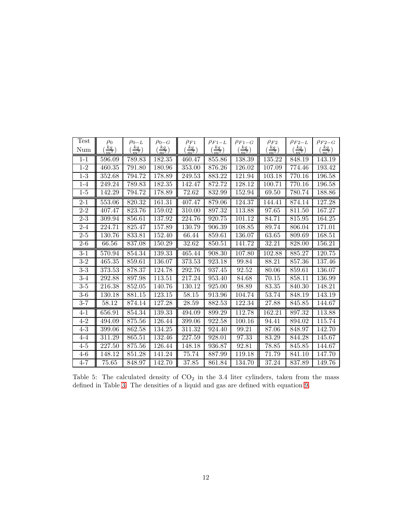| <b>Test</b>       | $\rho_0$       | $\rho_{0-L}$        | $\rho_{0-G}$                  | $\rho_{F1}$    | $\rho_{F1-L}$  | $\rho_{F1-G}$                 | $\rho_{F2}$      | $\rho_{F2-L}$                 | $\rho_{F2-G}$  |
|-------------------|----------------|---------------------|-------------------------------|----------------|----------------|-------------------------------|------------------|-------------------------------|----------------|
| Num               | $rac{kg}{m^3}$ | $\frac{kg}{m^3}$    | $\left(\frac{kg}{m^3}\right)$ | $rac{kg}{m^3}$ | $rac{kg}{m^3}$ | $\left(\frac{kg}{m^3}\right)$ | $\frac{kg}{m^3}$ | $\left(\frac{kg}{m^3}\right)$ | $rac{kg}{m^3}$ |
| $1 - 1$           | 596.09         | 789.83              | 182.35                        | 460.47         | 855.86         | 138.39                        | 135.22           | 848.19                        | 143.19         |
| $1 - 2$           | 460.35         | 791.80              | 180.96                        | 353.00         | 876.26         | 126.02                        | 107.09           | 774.46                        | 193.42         |
| $1-3$             | 352.68         | 794.72              | 178.89                        | 249.53         | 883.22         | 121.94                        | 103.18           | 770.16                        | 196.58         |
| $1 - 4$           | 249.24         | 789.83              | 182.35                        | 142.47         | 872.72         | 128.12                        | 100.71           | 770.16                        | 196.58         |
| $1-5$             | 142.29         | 794.72              | 178.89                        | 72.62          | 832.99         | 152.94                        | 69.50            | 780.74                        | 188.86         |
| $2 - 1$           | 553.06         | 820.32              | 161.31                        | 407.47         | 879.06         | 124.37                        | 144.41           | 874.14                        | 127.28         |
| $2 - 2$           | 407.47         | 823.76              | 159.02                        | 310.00         | 897.32         | 113.88                        | 97.65            | 811.50                        | 167.27         |
| $2 - 3$           | 309.94         | 856.61              | 137.92                        | 224.76         | 920.75         | 101.12                        | 84.71            | 815.95                        | 164.25         |
| $2 - 4$           | 224.71         | 825.47              | 157.89                        | 130.79         | 906.39         | 108.85                        | 89.74            | 806.04                        | 171.01         |
| $2 - 5$           | 130.76         | 833.81              | 152.40                        | 66.44          | 859.61         | 136.07                        | 63.65            | 809.69                        | 168.51         |
| $2-6$             | 66.56          | 837.08              | 150.29                        | 32.62          | 850.51         | 141.72                        | 32.21            | 828.00                        | 156.21         |
| $3-1$             | 570.94         | $\overline{854.34}$ | 139.33                        | 465.44         | 908.30         | 107.80                        | 102.88           | 885.27                        | 120.75         |
| $\overline{3}$ -2 | 465.35         | 859.61              | 136.07                        | 373.53         | 923.18         | 99.84                         | 88.21            | 857.36                        | 137.46         |
| $3-3$             | 373.53         | 878.37              | 124.78                        | 292.76         | 937.45         | 92.52                         | 80.06            | 859.61                        | 136.07         |
| $3-4$             | 292.88         | 897.98              | 113.51                        | 217.24         | 953.40         | 84.68                         | 70.15            | 858.11                        | 136.99         |
| $3-5$             | 216.38         | 852.05              | 140.76                        | 130.12         | 925.00         | 98.89                         | 83.35            | 840.30                        | 148.21         |
| $3-6$             | 130.18         | 881.15              | 123.15                        | 58.15          | 913.96         | 104.74                        | 53.74            | 848.19                        | 143.19         |
| $3 - 7$           | 58.12          | 874.14              | 127.28                        | 28.59          | 882.53         | 122.34                        | 27.88            | 845.85                        | 144.67         |
| $4 - 1$           | 656.91         | 854.34              | 139.33                        | 494.09         | 899.29         | 112.78                        | 162.21           | 897.32                        | 113.88         |
| $4 - 2$           | 494.09         | 875.56              | 126.44                        | 399.06         | 922.58         | 100.16                        | 94.41            | 894.02                        | 115.74         |
| $4 - 3$           | 399.06         | 862.58              | 134.25                        | 311.32         | 924.40         | 99.21                         | 87.06            | 848.97                        | 142.70         |
| 4-4               | 311.29         | 865.51              | 132.46                        | 227.59         | 928.01         | 97.33                         | 83.29            | 844.28                        | 145.67         |
| $4 - 5$           | 227.50         | 875.56              | 126.44                        | 148.18         | 936.87         | 92.81                         | 78.85            | 845.85                        | 144.67         |
| $4-6$             | 148.12         | 851.28              | 141.24                        | 75.74          | 887.99         | 119.18                        | 71.79            | 841.10                        | 147.70         |
| $4 - 7$           | 75.65          | 848.97              | 142.70                        | 37.85          | 861.84         | 134.70                        | 37.24            | 837.89                        | 149.76         |

<span id="page-11-0"></span>Table 5: The calculated density of  $CO<sub>2</sub>$  in the 3.4 liter cylinders, taken from the mass defined in Table [3.](#page-10-0) The densities of a liquid and gas are defined with equation [9.](#page-6-0)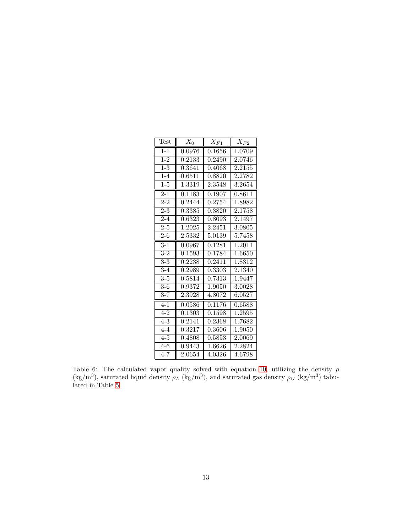| Test             | $X_0$  | $X_{F1}$ | $\overline{X_{F2}}$ |
|------------------|--------|----------|---------------------|
| $1 - 1$          | 0.0976 | 0.1656   | $\overline{1.0709}$ |
| $1 - 2$          | 0.2133 | 0.2490   | 2.0746              |
| $1 - 3$          | 0.3641 | 0.4068   | 2.2155              |
| $1 - 4$          | 0.6511 | 0.8820   | 2.2782              |
| $1-5$            | 1.3319 | 2.3548   | 3.2654              |
| $2 - 1$          | 0.1183 | 0.1907   | 0.8611              |
| $2 - 2$          | 0.2444 | 0.2754   | 1.8982              |
| $2 - 3$          | 0.3385 | 0.3820   | 2.1758              |
| $2 - 4$          | 0.6323 | 0.8093   | 2.1497              |
| $2 - 5$          | 1.2025 | 2.2451   | 3.0805              |
| $2 - 6$          | 2.5332 | 5.0139   | 5.7458              |
| $\overline{3-1}$ | 0.0967 | 0.1281   | 1.2011              |
| $3-2$            | 0.1593 | 0.1784   | 1.6650              |
| $3-3$            | 0.2238 | 0.2411   | 1.8312              |
| $3 - 4$          | 0.2989 | 0.3303   | 2.1340              |
| $3 - 5$          | 0.5814 | 0.7313   | 1.9447              |
| $3-6$            | 0.9372 | 1.9050   | 3.0028              |
| $3 - 7$          | 2.3928 | 4.8072   | 6.0527              |
| $4 - 1$          | 0.0586 | 0.1176   | 0.6588              |
| $4 - 2$          | 0.1303 | 0.1598   | 1.2595              |
| $4 - 3$          | 0.2141 | 0.2368   | 1.7682              |
| $4 - 4$          | 0.3217 | 0.3606   | 1.9050              |
| $\overline{4-5}$ | 0.4808 | 0.5853   | 2.0069              |
| $\overline{4-6}$ | 0.9443 | 1.6626   | 2.2824              |
| $4 - 7$          | 2.0654 | 4.0326   | 4.6798              |

<span id="page-12-0"></span>Table 6: The calculated vapor quality solved with equation [10,](#page-6-1) utilizing the density  $\rho$ (kg/m<sup>3</sup>), saturated liquid density  $\rho_L$  (kg/m<sup>3</sup>), and saturated gas density  $\rho_G$  (kg/m<sup>3</sup>) tabulated in Table [5.](#page-11-0)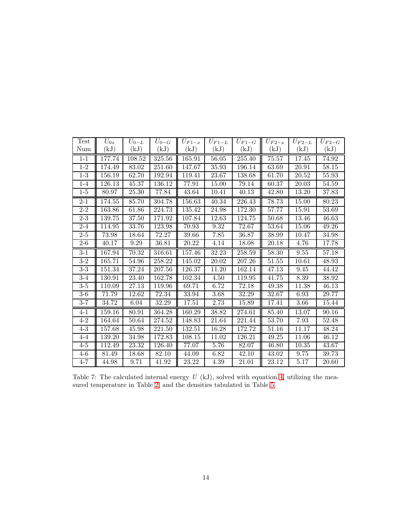| Test              | $U_{0x}$ | $U_{0-L}$          | $U_{0-G}$ | $U_{F1-x}$ | $U_{F1-L}$                  | $U_{F1-G}$                  | $U_{F2-x}$ | $U_{F2-L}$ | $U_{F2-G}$ |
|-------------------|----------|--------------------|-----------|------------|-----------------------------|-----------------------------|------------|------------|------------|
| Num               | (kJ)     | (kJ)               | (kJ)      | (kJ)       | $\left( \mathrm{kJ}\right)$ | $\left( \mathrm{kJ}\right)$ | $\rm(kJ)$  | (kJ)       | (kJ)       |
| $1 - 1$           | 177.74   | 108.52             | 325.56    | 165.91     | 56.05                       | 255.40                      | 75.57      | 17.45      | 74.92      |
| $1 - 2$           | 174.49   | 83.02              | 251.60    | 147.67     | 35.93                       | 196.14                      | 63.69      | 20.91      | 58.15      |
| $1-3$             | 156.19   | 62.70              | 192.94    | 119.41     | 23.67                       | 138.68                      | 61.70      | 20.52      | 55.93      |
| $1-4$             | 126.13   | $45.37\,$          | 136.12    | 77.91      | 15.00                       | 79.14                       | 60.37      | 20.03      | 54.59      |
| $1-5$             | 80.97    | 25.30              | 77.84     | 43.64      | 10.41                       | 40.13                       | 42.80      | 13.20      | 37.83      |
| $2 - 1$           | 174.55   | 85.70              | 304.78    | 156.63     | 40.34                       | 226.43                      | 78.73      | 15.00      | 80.23      |
| $2 - 2$           | 163.86   | 61.86              | 224.73    | 135.42     | 24.98                       | 172.30                      | 57.77      | 15.91      | 53.69      |
| $2 - 3$           | 139.75   | 37.50              | 171.92    | 107.84     | 12.63                       | 124.75                      | 50.68      | 13.46      | 46.63      |
| $2 - 4$           | 114.95   | 33.76              | 123.98    | 70.93      | 9.32                        | 72.67                       | 53.64      | 15.06      | 49.26      |
| $2 - 5$           | 73.98    | 18.64              | 72.27     | 39.66      | 7.85                        | 36.87                       | 38.99      | 10.47      | 34.98      |
| $2 - 6$           | 40.17    | 9.29               | 36.81     | 20.22      | 4.14                        | 18.08                       | 20.18      | 4.76       | 17.78      |
| $\overline{3}$ -1 | 167.94   | 70.32              | 316.61    | 157.46     | 32.23                       | 258.59                      | 58.30      | 9.55       | 57.18      |
| $\overline{3}$ -2 | 165.71   | 54.96              | 258.22    | 145.02     | 20.02                       | 207.26                      | 51.55      | 10.61      | 48.93      |
| $\overline{3-3}$  | 151.34   | 37.24              | 207.56    | 126.37     | 11.20                       | 162.14                      | 47.13      | 9.45       | 44.42      |
| $3-4$             | 130.91   | 23.40              | 162.78    | 102.34     | 4.50                        | 119.95                      | 41.75      | 8.39       | 38.92      |
| $3-5$             | 110.09   | 27.13              | 119.96    | 69.71      | 6.72                        | 72.18                       | 49.38      | 11.38      | 46.13      |
| $3-6$             | 71.79    | 12.62              | 72.34     | 33.94      | 3.68                        | 32.29                       | 32.67      | 6.93       | 29.77      |
| $3 - 7$           | 34.72    | 6.04               | 32.29     | 17.51      | 2.73                        | 15.89                       | 17.41      | 3.66       | 15.44      |
| $4 - 1$           | 159.16   | $\overline{80.91}$ | 364.28    | 160.29     | 38.82                       | 274.61                      | 85.40      | 13.07      | 90.16      |
| $4 - 2$           | 164.64   | 50.64              | 274.52    | 148.83     | 21.64                       | 221.44                      | 53.70      | 7.93       | 52.48      |
| $\overline{4-3}$  | 157.68   | 45.98              | 221.50    | 132.51     | 16.28                       | 172.72                      | 51.16      | 11.17      | 48.24      |
| $4 - 4$           | 139.20   | 34.98              | 172.83    | 108.15     | 11.02                       | 126.21                      | 49.25      | 11.06      | 46.12      |
| $4-5$             | 112.49   | 23.32              | 126.40    | 77.07      | 5.76                        | 82.07                       | 46.80      | 10.35      | 43.67      |
| $4-6$             | 81.49    | 18.68              | 82.10     | 44.09      | 6.82                        | 42.10                       | 43.02      | 9.75       | 39.73      |
| $4 - 7$           | 44.98    | 9.71               | 41.92     | 23.22      | 4.39                        | 21.01                       | 23.12      | 5.17       | 20.60      |

<span id="page-13-0"></span>Table 7: The calculated internal energy  $U$  (kJ), solved with equation [4,](#page-2-0) utilizing the measured temperature in Table [2,](#page-9-1) and the densities tabulated in Table [5.](#page-11-0)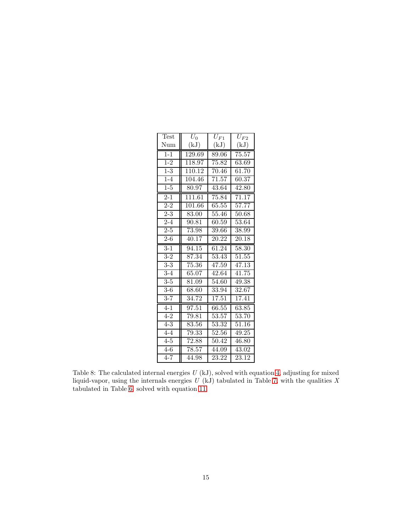| Test             | $U_0$               | $U_{F1}$           | $U_{F2}$ |
|------------------|---------------------|--------------------|----------|
| Num              | (kJ)                | (kJ)               | (kJ)     |
| $1 - 1$          | 129.69              | 89.06              | 75.57    |
| $1 - 2$          | $\overline{118.97}$ | 75.82              | 63.69    |
| $1 - 3$          | 110.12              | 70.46              | 61.70    |
| $\overline{1-4}$ | 104.46              | 71.57              | 60.37    |
| $1 - 5$          | 80.97               | 43.64              | 42.80    |
| $\overline{2-1}$ | 111.61              | 75.84              | 71.17    |
| $2 - 2$          | 101.66              | 65.55              | 57.77    |
| $2 - 3$          | 83.00               | 55.46              | 50.68    |
| $2 - 4$          | 90.81               | 60.59              | 53.64    |
| $2 - 5$          | 73.98               | 39.66              | 38.99    |
| $2 - 6$          | 40.17               | 20.22              | 20.18    |
| $3-1$            | 94.15               | 61.24              | 58.30    |
| $3-2$            | 87.34               | $\overline{5}3.43$ | 51.55    |
| $\overline{3-3}$ | 75.36               | 47.59              | 47.13    |
| $3-4$            | 65.07               | 42.64              | 41.75    |
| $3-5$            | 81.09               | 54.60              | 49.38    |
| $3-6$            | 68.60               | 33.94              | 32.67    |
| $3 - 7$          | 34.72               | 17.51              | 17.41    |
| $4 - 1$          | 97.51               | 66.55              | 63.85    |
| $4 - 2$          | 79.81               | 53.57              | 53.70    |
| $4 - 3$          | 83.56               | 53.32              | 51.16    |
| $4 - 4$          | 79.33               | 52.56              | 49.25    |
| $\overline{4-5}$ | 72.88               | 50.42              | 46.80    |
| $4-6$            | 78.57               | 44.09              | 43.02    |
| $4 - 7$          | 44.98               | 23.22              | 23.12    |

<span id="page-14-0"></span>Table 8: The calculated internal energies *U* (kJ), solved with equation [4,](#page-2-0) adjusting for mixed liquid-vapor, using the internals energies  $U(kJ)$  tabulated in Table [7,](#page-13-0) with the qualities X tabulated in Table [6,](#page-12-0) solved with equation [11.](#page-7-0)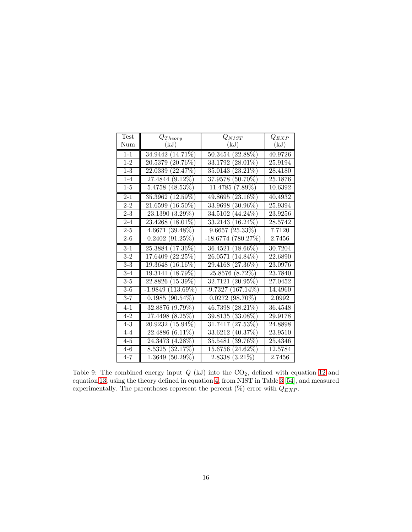| Test              | $Q_{Theory}$                     | $Q_{NIST}$               | $Q_{EXP}$ |
|-------------------|----------------------------------|--------------------------|-----------|
| Num               | (kJ)                             | (kJ)                     | (kJ)      |
| $1-1$             | 34.9442<br>$(14.71\%)$           | $(22.88\%)$<br>50.3454   | 40.9726   |
| $1 - 2$           | $(20.76\%)$<br>20.5379           | $(28.01\%)$<br>33.1792   | 25.9194   |
| $1 - 3$           | (22.47%)<br>22.0339              | $(23.21\%)$<br>35.0143   | 28.4180   |
| $1-4$             | $(9.12\%)$<br>27.4844            | $(50.70\%)$<br>37.9578   | 25.1876   |
| $1-5$             | 5.4758<br>$(48.53\%)$            | 11.4785<br>$(7.89\%)$    | 10.6392   |
| $2 - 1$           | $(12.59\%)$<br>35.3962           | $(23.16\%)$<br>49.8695   | 40.4932   |
| $2 - 2$           | $(16.50\%)$<br>21.6599           | $(30.96\%)$<br>33.9698   | 25.9394   |
| $2 - 3$           | $(3.29\%)$<br>23.1390            | $(44.24\%)$<br>34.5102   | 23.9256   |
| $2 - 4$           | $18.01\%$<br>23.4268             | $(16.24\%)$<br>33.2143   | 28.5742   |
| $2 - 5$           | 4.6671<br>$(39.48\%)$            | $(25.33\%)$<br>9.6657    | 7.7120    |
| $2 - 6$           | $(91.25\%)$<br>0.2402            | (780.27%)<br>$-18.6774$  | 2.7456    |
| $3 - 1$           | $(17.36\%)$<br>25.3884           | $(18.66\%)$<br>36.4521   | 30.7204   |
| $3-2$             | $(22.25\%)$<br>17.6409           | $(14.84\%)$<br>26.0571   | 22.6890   |
| $\overline{3-3}$  | 16.16%)<br>19.3648               | $(27.36\%)$<br>29.4168   | 23.0976   |
| $\overline{3}$ -4 | $(18.79\%)$<br>19.3141           | $(8.72\%)$<br>25.8576    | 23.7840   |
| $3-5$             | $(15.39\%)$<br>22.8826           | $(20.95\%)$<br>32.7121   | 27.0452   |
| $3-6$             | $(113.69\%)$<br>$-1.9849$        | $167.14\%)$<br>$-9.7327$ | 14.4960   |
| $3 - 7$           | 0.1985<br>$(90.54\%)$            | 0.0272<br>$(98.70\%)$    | 2.0992    |
| $4 - 1$           | $(9.79\%)$<br>32.8876            | $(28.21\%)$<br>46.7398   | 36.4548   |
| $4 - 2$           | (8.25%)<br>27.4498               | $(33.08\%)$<br>39.8135   | 29.9178   |
| $4 - 3$           | $(15.94\%)$<br>20.9232           | (27.53%)<br>31.7417      | 24.8898   |
| $4 - 4$           | $(6.1\overline{1\%)}$<br>22.4886 | (40.37%)<br>33.6212      | 23.9510   |
| $\overline{4-5}$  | $(4.28\%)$<br>24.3473            | $(39.76\%)$<br>35.5481   | 25.4346   |
| $4-6$             | (32.17%)<br>8.5325               | $(24.62\%)$<br>15.6756   | 12.5784   |
| $4 - 7$           | 1.3649 (50.29%)                  | $(3.21\%)$<br>2.8338     | 2.7456    |

<span id="page-15-0"></span>Table 9: The combined energy input  $Q$  (kJ) into the  $CO_2$ , defined with equation [12](#page-7-1) and equation [13,](#page-7-2) using the theory defined in equation [4,](#page-2-0) from NIST in Table [3](#page-10-0) [\[54\]](#page-22-2), and measured experimentally. The parentheses represent the percent (%) error with  $Q_{EXP}.$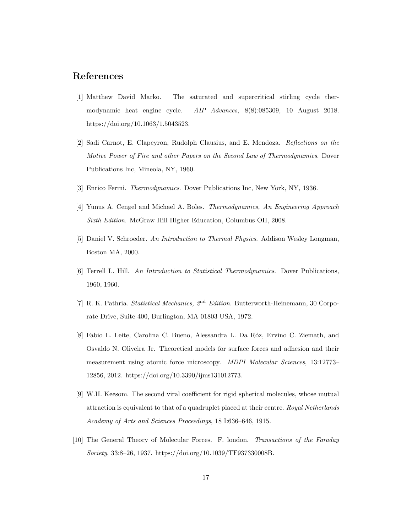#### <span id="page-16-0"></span>References

- [1] Matthew David Marko. The saturated and supercritical stirling cycle thermodynamic heat engine cycle. *AIP Advances*, 8(8):085309, 10 August 2018. https://doi.org/10.1063/1.5043523.
- <span id="page-16-1"></span>[2] Sadi Carnot, E. Clapeyron, Rudolph Clausius, and E. Mendoza. *Reflections on the Motive Power of Fire and other Papers on the Second Law of Thermodynamics*. Dover Publications Inc, Mineola, NY, 1960.
- <span id="page-16-2"></span>[3] Enrico Fermi. *Thermodynamics*. Dover Publications Inc, New York, NY, 1936.
- [4] Yunus A. Cengel and Michael A. Boles. *Thermodynamics, An Engineering Approach Sixth Edition*. McGraw Hill Higher Education, Columbus OH, 2008.
- <span id="page-16-4"></span>[5] Daniel V. Schroeder. *An Introduction to Thermal Physics*. Addison Wesley Longman, Boston MA, 2000.
- <span id="page-16-3"></span>[6] Terrell L. Hill. *An Introduction to Statistical Thermodynamics*. Dover Publications, 1960, 1960.
- [7] R. K. Pathria. *Statistical Mechanics, 2*nd *Edition*. Butterworth-Heinemann, 30 Corporate Drive, Suite 400, Burlington, MA 01803 USA, 1972.
- [8] Fabio L. Leite, Carolina C. Bueno, Alessandra L. Da Róz, Ervino C. Ziemath, and Osvaldo N. Oliveira Jr. Theoretical models for surface forces and adhesion and their measurement using atomic force microscopy. *MDPI Molecular Sciences*, 13:12773– 12856, 2012. https://doi.org/10.3390/ijms131012773.
- [9] W.H. Keesom. The second viral coefficient for rigid spherical molecules, whose mutual attraction is equivalent to that of a quadruplet placed at their centre. *Royal Netherlands Academy of Arts and Sciences Proceedings*, 18 I:636–646, 1915.
- [10] The General Theory of Molecular Forces. F. london. *Transactions of the Faraday Society*, 33:8–26, 1937. https://doi.org/10.1039/TF937330008B.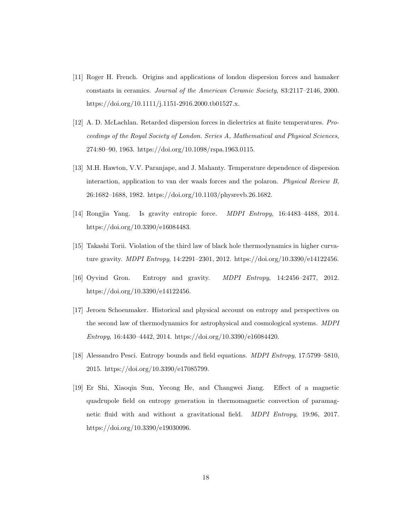- [11] Roger H. French. Origins and applications of london dispersion forces and hamaker constants in ceramics. *Journal of the American Ceramic Society*, 83:2117–2146, 2000. https://doi.org/10.1111/j.1151-2916.2000.tb01527.x.
- [12] A. D. McLachlan. Retarded dispersion forces in dielectrics at finite temperatures. *Proceedings of the Royal Society of London. Series A, Mathematical and Physical Sciences*, 274:80–90, 1963. https://doi.org/10.1098/rspa.1963.0115.
- [13] M.H. Hawton, V.V. Paranjape, and J. Mahanty. Temperature dependence of dispersion interaction, application to van der waals forces and the polaron. *Physical Review B*, 26:1682–1688, 1982. https://doi.org/10.1103/physrevb.26.1682.
- [14] Rongjia Yang. Is gravity entropic force. *MDPI Entropy*, 16:4483–4488, 2014. https://doi.org/10.3390/e16084483.
- [15] Takashi Torii. Violation of the third law of black hole thermodynamics in higher curvature gravity. *MDPI Entropy*, 14:2291–2301, 2012. https://doi.org/10.3390/e14122456.
- [16] Oyvind Gron. Entropy and gravity. *MDPI Entropy*, 14:2456–2477, 2012. https://doi.org/10.3390/e14122456.
- [17] Jeroen Schoenmaker. Historical and physical account on entropy and perspectives on the second law of thermodynamics for astrophysical and cosmological systems. *MDPI Entropy*, 16:4430–4442, 2014. https://doi.org/10.3390/e16084420.
- [18] Alessandro Pesci. Entropy bounds and field equations. *MDPI Entropy*, 17:5799–5810, 2015. https://doi.org/10.3390/e17085799.
- [19] Er Shi, Xiaoqin Sun, Yecong He, and Changwei Jiang. Effect of a magnetic quadrupole field on entropy generation in thermomagnetic convection of paramagnetic fluid with and without a gravitational field. *MDPI Entropy*, 19:96, 2017. https://doi.org/10.3390/e19030096.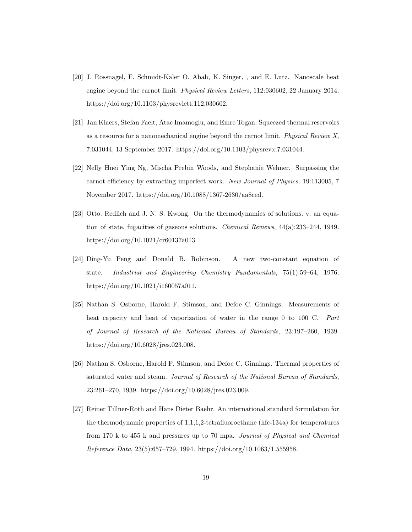- [20] J. Rossnagel, F. Schmidt-Kaler O. Abah, K. Singer, , and E. Lutz. Nanoscale heat engine beyond the carnot limit. *Physical Review Letters*, 112:030602, 22 January 2014. https://doi.org/10.1103/physrevlett.112.030602.
- [21] Jan Klaers, Stefan Faelt, Atac Imamoglu, and Emre Togan. Squeezed thermal reservoirs as a resource for a nanomechanical engine beyond the carnot limit. *Physical Review X*, 7:031044, 13 September 2017. https://doi.org/10.1103/physrevx.7.031044.
- <span id="page-18-0"></span>[22] Nelly Huei Ying Ng, Mischa Prebin Woods, and Stephanie Wehner. Surpassing the carnot efficiency by extracting imperfect work. *New Journal of Physics*, 19:113005, 7 November 2017. https://doi.org/10.1088/1367-2630/aa8ced.
- <span id="page-18-1"></span>[23] Otto. Redlich and J. N. S. Kwong. On the thermodynamics of solutions. v. an equation of state. fugacities of gaseous solutions. *Chemical Reviews*, 44(a):233–244, 1949. https://doi.org/10.1021/cr60137a013.
- <span id="page-18-2"></span>[24] Ding-Yu Peng and Donald B. Robinson. A new two-constant equation of state. *Industrial and Engineering Chemistry Fundamentals*, 75(1):59–64, 1976. https://doi.org/10.1021/i160057a011.
- <span id="page-18-3"></span>[25] Nathan S. Osborne, Harold F. Stimson, and Defoe C. Ginnings. Measurements of heat capacity and heat of vaporization of water in the range 0 to 100 C. *Part of Journal of Research of the National Bureau of Standards*, 23:197–260, 1939. https://doi.org/10.6028/jres.023.008.
- <span id="page-18-4"></span>[26] Nathan S. Osborne, Harold F. Stimson, and Defoe C. Ginnings. Thermal properties of saturated water and steam. *Journal of Research of the National Bureau of Standards*, 23:261–270, 1939. https://doi.org/10.6028/jres.023.009.
- [27] Reiner Tillner-Roth and Hans Dieter Baehr. An international standard formulation for the thermodynamic properties of 1,1,1,2-tetrafluoroethane (hfc-134a) for temperatures from 170 k to 455 k and pressures up to 70 mpa. *Journal of Physical and Chemical Reference Data*, 23(5):657–729, 1994. https://doi.org/10.1063/1.555958.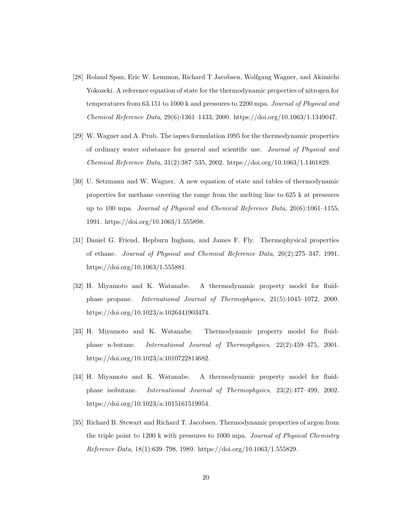- [28] Roland Span, Eric W. Lemmon, Richard T Jacobsen, Wolfgang Wagner, and Akimichi Yokozeki. A reference equation of state for the thermodynamic properties of nitrogen for temperatures from 63.151 to 1000 k and pressures to 2200 mpa. *Journal of Physical and Chemical Reference Data*, 29(6):1361–1433, 2000. https://doi.org/10.1063/1.1349047.
- [29] W. Wagner and A. Prub. The iapws formulation 1995 for the thermodynamic properties of ordinary water substance for general and scientific use. *Journal of Physical and Chemical Reference Data*, 31(2):387–535, 2002. https://doi.org/10.1063/1.1461829.
- [30] U. Setzmann and W. Wagner. A new equation of state and tables of thermodynamic properties for methane covering the range from the melting line to 625 k at pressures up to 100 mpa. *Journal of Physical and Chemical Reference Data*, 20(6):1061–1155, 1991. https://doi.org/10.1063/1.555898.
- [31] Daniel G. Friend, Hepburn Ingham, and James F. Fly. Thermophysical properties of ethane. *Journal of Physical and Chemical Reference Data*, 20(2):275–347, 1991. https://doi.org/10.1063/1.555881.
- [32] H. Miyamoto and K. Watanabe. A thermodynamic property model for fluidphase propane. *International Journal of Thermophysics*, 21(5):1045–1072, 2000. https://doi.org/10.1023/a:1026441903474.
- [33] H. Miyamoto and K. Watanabe. Thermodynamic property model for fluidphase n-butane. *International Journal of Thermophysics*, 22(2):459–475, 2001. https://doi.org/10.1023/a:1010722814682.
- [34] H. Miyamoto and K. Watanabe. A thermodynamic property model for fluidphase isobutane. *International Journal of Thermophysics*, 23(2):477–499, 2002. https://doi.org/10.1023/a:1015161519954.
- [35] Richard B. Stewart and Richard T. Jacobsen. Thermodynamic properties of argon from the triple point to 1200 k with pressures to 1000 mpa. *Journal of Physical Chemistry Reference Data*, 18(1):639–798, 1989. https://doi.org/10.1063/1.555829.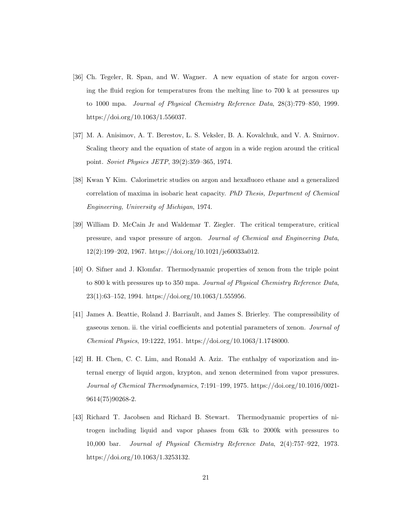- [36] Ch. Tegeler, R. Span, and W. Wagner. A new equation of state for argon covering the fluid region for temperatures from the melting line to 700 k at pressures up to 1000 mpa. *Journal of Physical Chemistry Reference Data*, 28(3):779–850, 1999. https://doi.org/10.1063/1.556037.
- [37] M. A. Anisimov, A. T. Berestov, L. S. Veksler, B. A. Kovalchuk, and V. A. Smirnov. Scaling theory and the equation of state of argon in a wide region around the critical point. *Soviet Physics JETP*, 39(2):359–365, 1974.
- [38] Kwan Y Kim. Calorimetric studies on argon and hexafluoro ethane and a generalized correlation of maxima in isobaric heat capacity. *PhD Thesis, Department of Chemical Engineering, University of Michigan*, 1974.
- [39] William D. McCain Jr and Waldemar T. Ziegler. The critical temperature, critical pressure, and vapor pressure of argon. *Journal of Chemical and Engineering Data*, 12(2):199–202, 1967. https://doi.org/10.1021/je60033a012.
- [40] O. Sifner and J. Klomfar. Thermodynamic properties of xenon from the triple point to 800 k with pressures up to 350 mpa. *Journal of Physical Chemistry Reference Data*, 23(1):63–152, 1994. https://doi.org/10.1063/1.555956.
- [41] James A. Beattie, Roland J. Barriault, and James S. Brierley. The compressibility of gaseous xenon. ii. the virial coefficients and potential parameters of xenon. *Journal of Chemical Physics*, 19:1222, 1951. https://doi.org/10.1063/1.1748000.
- [42] H. H. Chen, C. C. Lim, and Ronald A. Aziz. The enthalpy of vaporization and internal energy of liquid argon, krypton, and xenon determined from vapor pressures. *Journal of Chemical Thermodynamics*, 7:191–199, 1975. https://doi.org/10.1016/0021- 9614(75)90268-2.
- [43] Richard T. Jacobsen and Richard B. Stewart. Thermodynamic properties of nitrogen including liquid and vapor phases from 63k to 2000k with pressures to 10,000 bar. *Journal of Physical Chemistry Reference Data*, 2(4):757–922, 1973. https://doi.org/10.1063/1.3253132.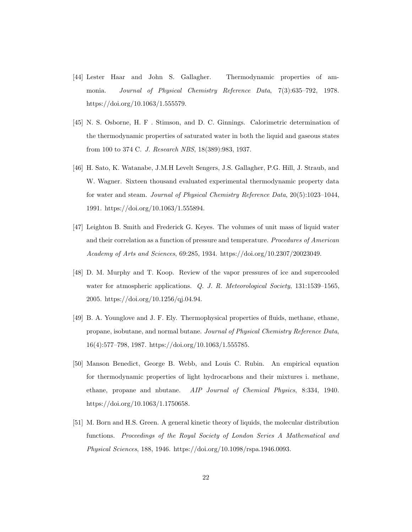- [44] Lester Haar and John S. Gallagher. Thermodynamic properties of ammonia. *Journal of Physical Chemistry Reference Data*, 7(3):635–792, 1978. https://doi.org/10.1063/1.555579.
- [45] N. S. Osborne, H. F . Stimson, and D. C. Ginnings. Calorimetric determination of the thermodynamic properties of saturated water in both the liquid and gaseous states from 100 to 374 C. *J. Research NBS*, 18(389):983, 1937.
- [46] H. Sato, K. Watanabe, J.M.H Levelt Sengers, J.S. Gallagher, P.G. Hill, J. Straub, and W. Wagner. Sixteen thousand evaluated experimental thermodynamic property data for water and steam. *Journal of Physical Chemistry Reference Data*, 20(5):1023–1044, 1991. https://doi.org/10.1063/1.555894.
- [47] Leighton B. Smith and Frederick G. Keyes. The volumes of unit mass of liquid water and their correlation as a function of pressure and temperature. *Procedures of American Academy of Arts and Sciences*, 69:285, 1934. https://doi.org/10.2307/20023049.
- [48] D. M. Murphy and T. Koop. Review of the vapor pressures of ice and supercooled water for atmospheric applications. *Q. J. R. Meteorological Society*, 131:1539–1565, 2005. https://doi.org/10.1256/qj.04.94.
- [49] B. A. Younglove and J. F. Ely. Thermophysical properties of fluids, methane, ethane, propane, isobutane, and normal butane. *Journal of Physical Chemistry Reference Data*, 16(4):577–798, 1987. https://doi.org/10.1063/1.555785.
- <span id="page-21-0"></span>[50] Manson Benedict, George B. Webb, and Louis C. Rubin. An empirical equation for thermodynamic properties of light hydrocarbons and their mixtures i. methane, ethane, propane and nbutane. *AIP Journal of Chemical Physics*, 8:334, 1940. https://doi.org/10.1063/1.1750658.
- <span id="page-21-1"></span>[51] M. Born and H.S. Green. A general kinetic theory of liquids, the molecular distribution functions. *Proceedings of the Royal Society of London Series A Mathematical and Physical Sciences*, 188, 1946. https://doi.org/10.1098/rspa.1946.0093.